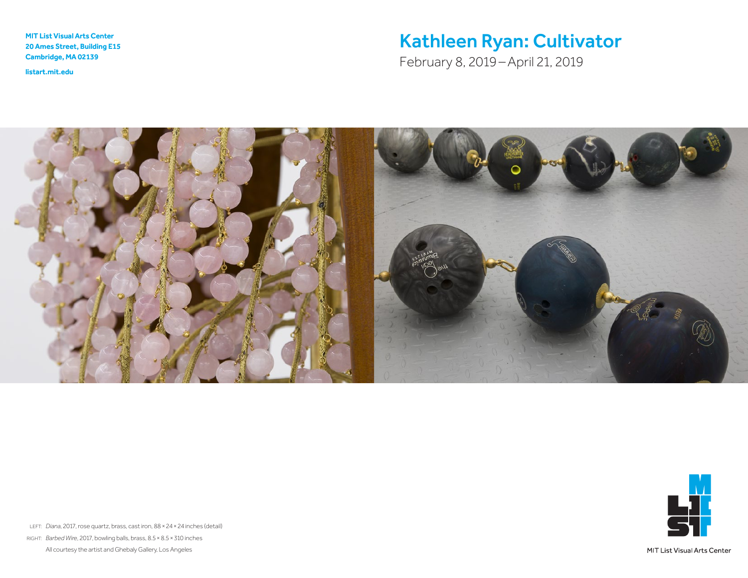MIT List Visual Arts Center 20 Ames Street, Building E15 Cambridge, MA 02139

<listart.mit.edu>

# Kathleen Ryan: Cultivator

February 8, 2019–April 21, 2019



![](_page_0_Picture_5.jpeg)

LEFT: *Diana*, 2017, rose quartz, brass, cast iron, 88×24×24 inches (detail) RIGHT: *Barbed Wire*, 2017, bowling balls, brass, 8.5×8.5×310 inches All courtesy the artist and Ghebaly Gallery, Los Angeles